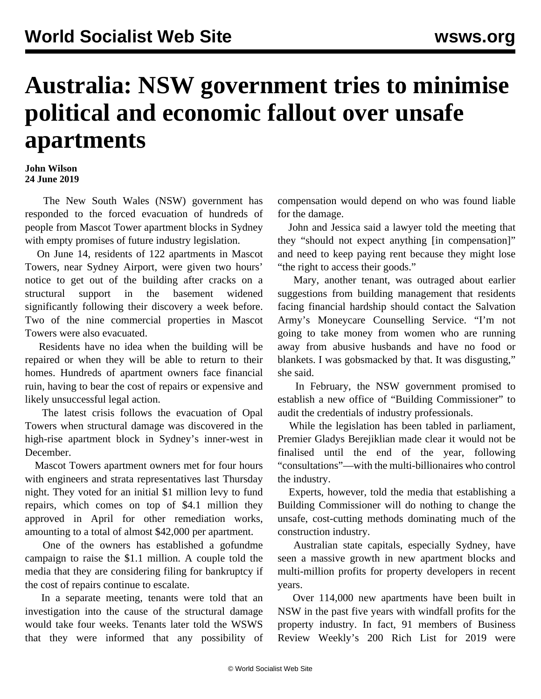## **Australia: NSW government tries to minimise political and economic fallout over unsafe apartments**

## **John Wilson 24 June 2019**

 The New South Wales (NSW) government has responded to the forced evacuation of hundreds of people from Mascot Tower apartment blocks in Sydney with empty promises of future industry legislation.

 On June 14, residents of 122 apartments in Mascot Towers, near Sydney Airport, were given two hours' notice to get out of the building after cracks on a structural support in the basement widened significantly following their discovery a week before. Two of the nine commercial properties in Mascot Towers were also evacuated.

 Residents have no idea when the building will be repaired or when they will be able to return to their homes. Hundreds of apartment owners face financial ruin, having to bear the cost of repairs or expensive and likely unsuccessful legal action.

 The latest crisis follows the evacuation of Opal Towers when structural damage was discovered in the high-rise apartment block in Sydney's inner-west in December.

 Mascot Towers apartment owners met for four hours with engineers and strata representatives last Thursday night. They voted for an initial \$1 million levy to fund repairs, which comes on top of \$4.1 million they approved in April for other remediation works, amounting to a total of almost \$42,000 per apartment.

 One of the owners has established a gofundme campaign to raise the \$1.1 million. A couple told the media that they are considering filing for bankruptcy if the cost of repairs continue to escalate.

 In a separate meeting, tenants were told that an investigation into the cause of the structural damage would take four weeks. Tenants later told the WSWS that they were informed that any possibility of compensation would depend on who was found liable for the damage.

 John and Jessica said a lawyer told the meeting that they "should not expect anything [in compensation]" and need to keep paying rent because they might lose "the right to access their goods."

 Mary, another tenant, was outraged about earlier suggestions from building management that residents facing financial hardship should contact the Salvation Army's Moneycare Counselling Service. "I'm not going to take money from women who are running away from abusive husbands and have no food or blankets. I was gobsmacked by that. It was disgusting," she said.

 In February, the NSW government promised to establish a new office of "Building Commissioner" to audit the credentials of industry professionals.

 While the legislation has been tabled in parliament, Premier Gladys Berejiklian made clear it would not be finalised until the end of the year, following "consultations"—with the multi-billionaires who control the industry.

 Experts, however, told the media that establishing a Building Commissioner will do nothing to change the unsafe, cost-cutting methods dominating much of the construction industry.

 Australian state capitals, especially Sydney, have seen a massive growth in new apartment blocks and multi-million profits for property developers in recent years.

 Over 114,000 new apartments have been built in NSW in the past five years with windfall profits for the property industry. In fact, 91 members of Business Review Weekly's 200 Rich List for 2019 were